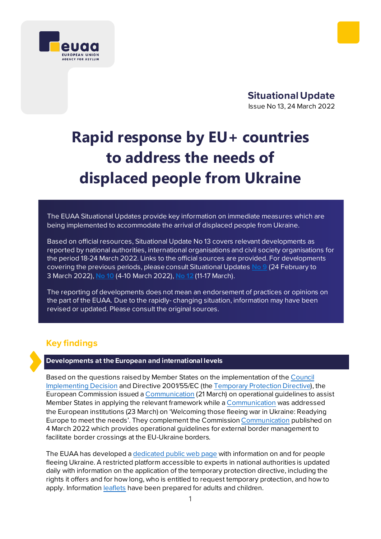

**Situational Update**  Issue No 13, 24 March 2022

# **Rapid response by EU+ countries to address the needs of displaced people from Ukraine**

The EUAA Situational Updates provide key information on immediate measures which are being implemented to accommodate the arrival of displaced people from Ukraine.

Based on official resources, Situational Update No 13 covers relevant developments as reported by national authorities, international organisations and civil society organisations for the period 18-24 March 2022. Links to the official sources are provided. For developments covering the previous periods, please consul[t Situational Updates](https://euaa.europa.eu/sites/default/files/publications/2022-03/2022_situational_update_9_Ukraine_EN_1.pdf) **No 9** (24 February to 3 March 2022), **[No](https://euaa.europa.eu/publications/rapid-response-eu-countries-address-needs-displaced-people-ukraine-0) 10** (4-10 March 2022), **[No 12](https://euaa.europa.eu/publications/rapid-response-eu-countries-address-needs-displaced-people-ukraine-1)** (11-17 March).

The reporting of developments does not mean an endorsement of practices or opinions on the part of the EUAA. Due to the rapidly- changing situation, information may have been revised or updated. Please consult the original sources.

# **Key findings**

#### **Developments at the European and international levels**

Based on the questions raised by Member States on the implementation of th[e Council](https://eur-lex.europa.eu/legal-content/EN/TXT/?uri=uriserv:OJ.L_.2022.071.01.0001.01.ENG)  [Implementing Decision](https://eur-lex.europa.eu/legal-content/EN/TXT/?uri=uriserv:OJ.L_.2022.071.01.0001.01.ENG) and Directive 2001/55/EC (th[e Temporary Protection Directive\)](https://eur-lex.europa.eu/legal-content/EN/ALL/?uri=CELEX%3A32001L0055), the European Commission issued [a Communication](https://eur-lex.europa.eu/legal-content/EN/TXT/?uri=CELEX%3A52022XC0321%2803%29&qid=1647940863274) (21 March) on operational guidelines to assist Member States in applying the relevant framework while [a Communication](https://eur-lex.europa.eu/legal-content/EN/TXT/?uri=COM%3A2022%3A131%3AFIN&qid=1648073863211) was addressed the European institutions (23 March) on 'Welcoming those fleeing war in Ukraine: Readying Europe to meet the needs'. They complement the Commissio[n Communication](https://eur-lex.europa.eu/legal-content/EN/TXT/?uri=OJ%3AJOC_2022_104_I_0001&qid=1646422292305) published on 4 March 2022 which provides operational guidelines for external border management to facilitate border crossings at the EU-Ukraine borders.

The EUAA has developed [a dedicated public web page](https://euaa.europa.eu/euaa-response-war-ukraine) with information on and for people fleeing Ukraine. A restricted platform accessible to experts in national authorities is updated daily with information on the application of the temporary protection directive, including the rights it offers and for how long, who is entitled to request temporary protection, and how to apply. Information [leaflets](https://euaa.europa.eu/euaa-response-war-ukraine) have been prepared for adults and children.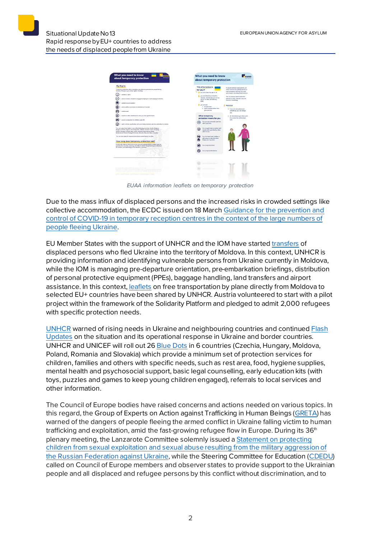| about temporary protection                                                                                                                                                                                                                                                                                                                                                                                                                                                                                                                                                                                                                                                                                                                                                                                                                                                              | What you need to know<br>about temporary protection                                                                                                                                                                                                                                                                                                                                                                                                                        |
|-----------------------------------------------------------------------------------------------------------------------------------------------------------------------------------------------------------------------------------------------------------------------------------------------------------------------------------------------------------------------------------------------------------------------------------------------------------------------------------------------------------------------------------------------------------------------------------------------------------------------------------------------------------------------------------------------------------------------------------------------------------------------------------------------------------------------------------------------------------------------------------------|----------------------------------------------------------------------------------------------------------------------------------------------------------------------------------------------------------------------------------------------------------------------------------------------------------------------------------------------------------------------------------------------------------------------------------------------------------------------------|
| <b>My Rights</b><br>Temparary protection offers immediate and effective protection to people fixeing<br>Ukraise. This gives you certain rights, including:<br>residency dates<br>access to labour market to engage in employed or self-employed activities<br>suitable accommodation                                                                                                                                                                                                                                                                                                                                                                                                                                                                                                                                                                                                    | This information is<br>If you are without your garents, an<br>adult learnetimes called exactlan or<br>for you if<br>representativel will help you with<br>you are under the age of 18<br>your needs, including the procedure.<br>you are Ukrainian or lived in<br>You can always reach out to this<br>Ukraine, and left because of the<br>person or other officials if you are<br>war on or after 24 February<br>scared or need help.<br>3/122<br>you arrived:<br>Remember |
| social welfare and means of subsistance if needed<br>medical cars                                                                                                                                                                                                                                                                                                                                                                                                                                                                                                                                                                                                                                                                                                                                                                                                                       | · on your own<br>. with someone other than<br>. If you do not understand<br>your parents<br>something, you can always<br>ask.                                                                                                                                                                                                                                                                                                                                              |
| medical or other assistance in case you have special needs:<br>access to education for children under 18<br>sight to family regulfication with core family members lask the authorities for details!<br>You can enjoy these rights in one of the following countries: Austria, Belgium,<br>Bulgaria, Croatia, Cyprus, Czech Republic, Estonia, Finland, France, Germany,<br>Greece, Hungary, Ireland, Italy, Lotvia, Lithuania, Luxembourg, Maita.<br>Netherlands, Poland, Portugal, Romania, Slovakia, Slovania, Sqain, Sweden,<br>You can also again for aprium determational organizioni at any time.<br>How long does temporary protection last?<br>It lasts until 4 March 2022 and can be renewed subproducely for another year thr.<br>periods of six months), meaning until 4 March 2024. This period may be extended<br>for another year depending on the situation in Liunion. | What temporary<br>. All information you share with<br>the authorities will be kept<br>protection means for you<br>sale.<br>You can stay in the EU until it is<br>safe to no back.<br>You can get help to contact and<br>reunite with your family, when<br>sale for you.<br>You can have food, clothes, a<br>safe place to stay and other<br>things you rear need.<br>You can go to school<br><b>You can go to the doctor</b>                                               |
| to street would not a deal<br>and said and sound an ed homes on the                                                                                                                                                                                                                                                                                                                                                                                                                                                                                                                                                                                                                                                                                                                                                                                                                     |                                                                                                                                                                                                                                                                                                                                                                                                                                                                            |

*EUAA information leaflets on temporary protection*

Due to the mass influx of displaced persons and the increased risks in crowded settings like collective accommodation, the ECDC issuedon 18 March [Guidance for the prevention and](https://www.ecdc.europa.eu/en/publications-data/guidance-prevention-control-covid-19-temporary-reception-centres-people-fleeing-ukraine)  [control of COVID-19 in temporary reception centres in the context of the large numbers of](https://www.ecdc.europa.eu/en/publications-data/guidance-prevention-control-covid-19-temporary-reception-centres-people-fleeing-ukraine)  [people fleeing Ukraine.](https://www.ecdc.europa.eu/en/publications-data/guidance-prevention-control-covid-19-temporary-reception-centres-people-fleeing-ukraine)

EU Member States with the support of UNHCR and the IOM have started [transfers](https://www.unhcr.org/news/press/2022/3/6239dd294/iom-unhcr-welcome-first-flights-refugees-moldova-eu-member-states.html) of displaced persons who fled Ukraine into the territory of Moldova. In this context, UNHCR is providing information and identifying vulnerable persons from Ukraine currently in Moldova, while the IOM is managing pre-departure orientation, pre-embarkation briefings, distribution of personal protective equipment (PPEs), baggage handling, land transfers and airport assistance. In this context[, leaflets](https://help.unhcr.org/moldova/eu-air-transfers/#_ga=2.117557007.784337320.1648041357-3672362.1647450367) on free transportation by plane directly from Moldova to selected EU+ countries have been shared by UNHCR. Austria volunteered to start with a pilot project within the framework of the Solidarity Platform and pledged to admit 2,000 refugees with specific protection needs.

[UNHCR](https://www.unhcr.org/news/briefing/2022/3/623453f14/unhcr-warns-rising-needs-ukraine-neighbouring-countries-calls-cessation.html) warned of rising needs in Ukraine and neighbouring countries and continue[d Flash](https://data2.unhcr.org/en/documents/details/91448)  [Updates](https://data2.unhcr.org/en/documents/details/91448) on the situation and its operational response in Ukraine and border countries. UNHCR and UNICEF will roll out 26 [Blue Dots](https://gdc.unicef.org/resource/unicef-blue-dots-providing-critical-support-refugees-ukraine) in 6 countries (Czechia, Hungary, Moldova, Poland, Romania and Slovakia) which provide a minimum set of protection services for children, families and others with specific needs, such as rest area, food, hygiene supplies, mental health and psychosocial support, basic legal counselling, early education kits (with toys, puzzles and games to keep young children engaged), referrals to local services and other information.

The Council of Europe bodies have raised concerns and actions needed on various topics. In this regard, the Group of Experts on Action against Trafficking in Human Beings [\(GRETA](https://www.coe.int/en/web/anti-human-trafficking/news/-/asset_publisher/fX6ZWufj34JY/content/greta-statement-states-must-urgently-protect-refugees-fleeing-ukraine?inheritRedirect=false&redirect=https%3A%2F%2Fwww.coe.int%2Fen%2Fweb%2Fanti-human-trafficking%2Fnews%3Fp_p_id%3D101_INSTANCE_fX6ZWufj34JY%26p_p_lifecycle%3D0%26p_p_state%3Dnormal%26p_p_mode%3Dview%26p_p_col_id%3Dcolumn-4%26p_p_col_count%3D1)) has warned of the dangers of people fleeing the armed conflict in Ukraine falling victim to human trafficking and exploitation, amid the fast-growing refugee flow in Europe. During its 36<sup>th</sup> plenary meeting, the Lanzarote Committee solemnly issued [a Statement on protecting](https://rm.coe.int/statement-on-protecting-children-from-sexual-exploitation-and-sexual-a/1680a5dae7)  [children from sexual exploitation and sexual abuse resulting from the military aggression of](https://rm.coe.int/statement-on-protecting-children-from-sexual-exploitation-and-sexual-a/1680a5dae7)  [the Russian Federation against Ukraine](https://rm.coe.int/statement-on-protecting-children-from-sexual-exploitation-and-sexual-a/1680a5dae7), while the Steering Committee for Education [\(CDEDU](https://www.coe.int/en/web/education/-/steering-committee-for-education-cdedu-statement-on-the-educational-consequences-of-the-russian-federation-s-aggression-against-ukraine)) called on Council of Europe members and observer states to provide support to the Ukrainian people and all displaced and refugee persons by this conflict without discrimination, and to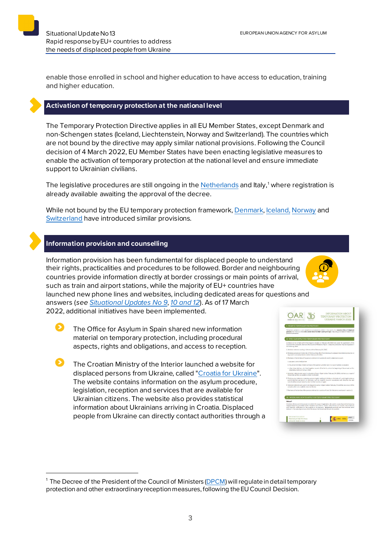enable those enrolled in school and higher education to have access to education, training and higher education.

#### **Activation of temporary protection at the national level**

The Temporary Protection Directive applies in all EU Member States, except Denmark and non-Schengen states (Iceland, Liechtenstein, Norway and Switzerland). The countries which are not bound by the directive may apply similar national provisions. Following the Council decision of 4 March 2022, EU Member States have been enacting legislative measures to enable the activation of temporary protection at the national level and ensure immediate support to Ukrainian civilians.

The legislative procedures are still ongoing in the <u>Netherlands</u> and Italy,<sup>[1](#page-2-0)</sup> where registration is already available awaiting the approval of the decree.

While not bound by the EU temporary protection framework[, Denmark](https://uim.dk/nyhedsarkiv/2022/marts/et-bredt-folketingsflertal-vedtager-lov-for-fordrevne-ukrainere/)[, Iceland,](https://www.stjornarradid.is/efst-a-baugi/frettir/stok-frett/2022/03/04/Domsmalaradherra-heimilar-timabundna-vernd-vegna-fjoldaflotta/) [Norway](https://www.regjeringen.no/en/aktuelt/temporary-collective-protection-for-ukrainian-refugees/id2903930/) and [Switzerland](https://www.sem.admin.ch/dam/sem/de/data/asyl/faktenblatt-schutzstatus-s.pdf) have introduced similar provisions.

#### **Information provision and counselling**

Ω

Information provision has been fundamental for displaced people to understand their rights, practicalities and procedures to be followed. Border and neighbouring countries provide information directly at border crossings or main points of arrival, such as train and airport stations, while the majority of EU+ countries have launched new phone lines and websites, including dedicated areas for questions and answers (*see [Situational Updates No 9](https://euaa.europa.eu/sites/default/files/publications/2022-03/2022_situational_update_9_Ukraine_EN_1.pdf)*, *[10](https://euaa.europa.eu/publications/rapid-response-eu-countries-address-needs-displaced-people-ukraine-0) and [12](https://euaa.europa.eu/publications/rapid-response-eu-countries-address-needs-displaced-people-ukraine-1)*). As of 17 March

2022, additional initiatives have been implemented.

The Office for Asylum in Spain shared new information material on temporary protection, including procedural aspects, rights and obligations, and access to reception.

The Croatian Ministry of the Interior launched a website for displaced persons from Ukraine, called ["Croatia for Ukraine](https://hrvatskazaukrajinu.gov.hr/)". The website contains information on the asylum procedure, legislation, reception and services that are available for Ukrainian citizens. The website also provides statistical information about Ukrainians arriving in Croatia. Displaced people from Ukraine can directly contact authorities through a



<span id="page-2-0"></span><sup>&</sup>lt;sup>1</sup> The Decree of the President of the Council of Ministers [\(DPCM](https://integrazionemigranti.gov.it/it-it/Ricerca-news/Dettaglio-news/id/2373/Protezione-temporanea-emergenza-Ucraina-domande-in-Questura)) will regulate in detail temporary protection and other extraordinary reception measures, following the EU Council Decision.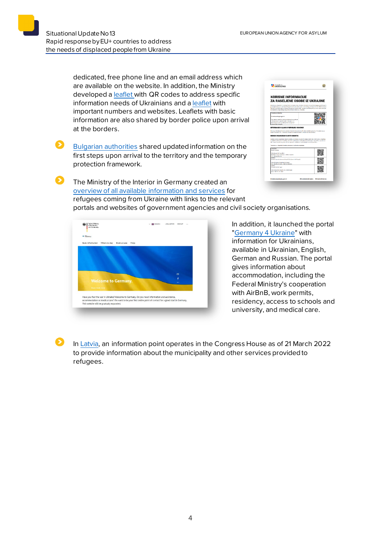Я

 $\mathbf{\Omega}$ 

dedicated, free phone line and an email address which are available on the website. In addition, the Ministry developed a [leaflet](https://hrvatskazaukrajinu.gov.hr/UserDocsImages/dokumenti/HR/Korisne%20informacije%20za%20raseljene%20osobe%20iz%20Ukrajine.pdf) with QR codes to address specific information needs of Ukrainians and a [leaflet](https://hrvatskazaukrajinu.gov.hr/UserDocsImages/dokumenti/HR/MUP%20-%20Letak%20Ukrajina%20vazni%20brojevi.pdf) with important numbers and websites. Leaflets with basic information are also shared by border police upon arrival at the borders.

[Bulgarian authorities](https://ukraine.gov.bg/2022/03/20/how-where-what-about-the-first-steps-of-fleeing-the-war-in-ukraine/) shared updated information on the first steps upon arrival to the territory and the temporary protection framework.

| <b>UKRAJINU</b>                                                                                                                                                                                                                                                                                                                                                                                                                                                                                                                                                                                                                                        |  |
|--------------------------------------------------------------------------------------------------------------------------------------------------------------------------------------------------------------------------------------------------------------------------------------------------------------------------------------------------------------------------------------------------------------------------------------------------------------------------------------------------------------------------------------------------------------------------------------------------------------------------------------------------------|--|
| <b>KORISNE INFORMACUE</b><br>ZA RASELJENE OSOBE IZ UKRAJINE                                                                                                                                                                                                                                                                                                                                                                                                                                                                                                                                                                                            |  |
| Notezhie se u Regulalici in rustekal. Ziamici Europeke Unile, Hrusteka il Ukraina kroz profilozt niveulu gadržavalući i<br>mütelisli olan tesu drastasilen dila Ukaline datın doli. U Hayekol orazale 3a'dın 2003-tözülme<br>Ukraine te in 2008 appline opnovana Ukrainska paodinia RM. Takođor je velik broj Mrvata živio i radio u Ukraini.<br>no rataket as zlog ratnog stanja bili primorani vrstiti se u Mrvatsku.                                                                                                                                                                                                                                |  |
| <b>November of Glimatical</b>                                                                                                                                                                                                                                                                                                                                                                                                                                                                                                                                                                                                                          |  |
| hrvatskapaskraj na gov/e                                                                                                                                                                                                                                                                                                                                                                                                                                                                                                                                                                                                                               |  |
| Ous stranics sadrill our learlone informed in as primot<br>Librinianovic conditorio controlo Libralian, ed.).<br>informaciona suo tosi (elle acmedi casetonomi<br>dampersiling Ukraine.                                                                                                                                                                                                                                                                                                                                                                                                                                                                |  |
|                                                                                                                                                                                                                                                                                                                                                                                                                                                                                                                                                                                                                                                        |  |
|                                                                                                                                                                                                                                                                                                                                                                                                                                                                                                                                                                                                                                                        |  |
| lako je za državbane Ukraine potrebna biometrijska putovnica ili nebiometrijska putovnica i hrvatska vica za<br>ulatek i borausku RK, u transpozi stuadil za neeljene osobe iz Ulateline to nije potrebno.<br>NEMAM ORGANIZIRAN YLASTITI SMJESTAJ<br>Ukoliko nemete grandziran vientiti emielitei, po dolarku na aranični grijeka dobit dete informacije o smještoju<br>u saldāve arhustom smirītaju. Retauti u arhustnim smirītojima ir izotietojas i geresītrs, u przelu sa<br>48h. Nakon proteka tog roka, bit čete upućeni u kolektivni smještaj koji će vambi tipomoten.<br>Trenutno su a facultilio Hirvatskoj otvorena tri prihvetna amieštaja: |  |
| <b>VARIZER</b>                                                                                                                                                                                                                                                                                                                                                                                                                                                                                                                                                                                                                                         |  |
| <b>Avenue Manadolphi</b><br>(City Sports Hall Varabile)<br>Send the Cronje Tudmans 1, 42000, Vanddin                                                                                                                                                                                                                                                                                                                                                                                                                                                                                                                                                   |  |
| Tel: +385 47 659 120<br>come                                                                                                                                                                                                                                                                                                                                                                                                                                                                                                                                                                                                                           |  |
| Graddo fanrida dynasa Gruat (Oty Santrukali Gruat)                                                                                                                                                                                                                                                                                                                                                                                                                                                                                                                                                                                                     |  |
| Ulica Miroslava Kraljevića 13. Gospić<br>Tel: +385 98 177 2855, +385 91 3366 661                                                                                                                                                                                                                                                                                                                                                                                                                                                                                                                                                                       |  |
| <b>CHAINS</b><br>Printed to center Jug 2                                                                                                                                                                                                                                                                                                                                                                                                                                                                                                                                                                                                               |  |
| Like Indjefters Smith 67, 11000 Oxford<br>Mole 4305-01112-002                                                                                                                                                                                                                                                                                                                                                                                                                                                                                                                                                                                          |  |

The Ministry of the Interior in Germany created an [overview of all available information and services](https://www.bmi.bund.de/SharedDocs/topthemen/DE/topthema-ukraine/topthema-ukraine-artikel.html) for refugees coming from Ukraine with links to the relevant portals and websites of government agencies and civil society organisations.



In addition, it launched the portal ["Germany 4 Ukraine"](https://www.germany4ukraine.de/) with information for Ukrainians, available in Ukrainian, English, German and Russian. The portal gives information about accommodation, including the Federal Ministry's cooperation with AirBnB, work permits, residency, access to schools and university, and medical care.

In [Latvia,](https://www.iem.gov.lv/lv/jaunums/no-21-marta-rigas-atbalsta-centrs-ukrainas-iedzivotajiem-atradisies-kalku-iela-1-riga) an information point operates in the Congress House as of 21 March 2022 to provide information about the municipality and other services provided to refugees.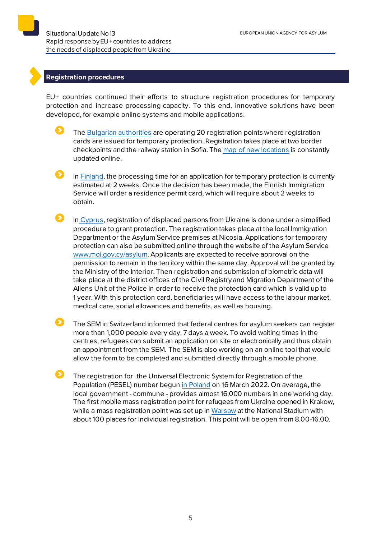## **Registration procedures**

EU+ countries continued their efforts to structure registration procedures for temporary protection and increase processing capacity. To this end, innovative solutions have been developed, for example online systems and mobile applications.

- The [Bulgarian authorities](https://ukraine.gov.bg/2022/03/21/there-are-over-20-operating-registration-points-for-temporary-protection-on-the-territory-of-the-country/) are operating 20 registration points where registration cards are issued for temporary protection. Registration takes place at two border checkpoints and the railway station in Sofia. The [map of new locations](https://ukraine.gov.bg/issuance-of-temporary-protection/#map) is constantly updated online.
- In [Finland,](https://migri.fi/-/ukrainasta-paenneiden-kansainvalisen-suojelun-hakemusten-maara-on-selvassa-kasvussa) the processing time for an application for temporary protection is currently estimated at 2 weeks. Once the decision has been made, the Finnish Immigration Service will order a residence permit card, which will require about 2 weeks to obtain.
- In [Cyprus,](http://www.moi.gov.cy/MOI/moiup/moi.nsf/All/5934D38355815AE6C22588090025458B?OpenDocument) registration of displaced persons from Ukraine is done under a simplified procedure to grant protection. The registration takes place at the local Immigration Department or the Asylum Service premises at Nicosia. Applications for temporary protection can also be submitted online through the website of the Asylum Service [www.moi.gov.cy/asylum.](http://www.moi.gov.cy/asylum) Applicants are expected to receive approval on the permission to remain in the territory within the same day. Approval will be granted by the Ministry of the Interior. Then registration and submission of biometric data will take place at the district offices of the Civil Registry and Migration Department of the Aliens Unit of the Police in order to receive the protection card which is valid up to 1 year. With this protection card, beneficiaries will have access to the labour market, medical care, social allowances and benefits, as well as housing.
- Ω The SEM in Switzerland informed that federal centres for asylum seekers can register more than 1,000 people every day, 7 days a week. To avoid waiting times in the centres, refugees can submit an application on site or electronically and thus obtain an appointment from the SEM. The SEM is also working on an online tool that would allow the form to be completed and submitted directly through a mobile phone.
	- The registration for the Universal Electronic System for Registration of the Population (PESEL) number begun [in Poland](https://www.gov.pl/web/mswia/ruszyl-proces-nadawania-numeru-pesel-uchodzcom-wojennym-z-ukrainy) on 16 March 2022. On average, the local government - commune - provides almost 16,000 numbers in one working day. The first mobile mass registration point for refugees from Ukraine opened in Krakow, while a mass registration point was set up i[n Warsaw](https://www.gov.pl/web/mswia/juz-123-tys-uchodzcow-z-ukrainy-ma-numer-pesel-wojewodowie-otrzymali-dzis-srodki-z-funduszu-pomocy) at the National Stadium with about 100 places for individual registration. This point will be open from 8.00-16.00.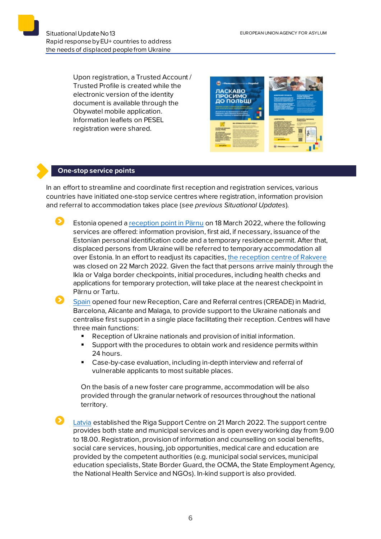Upon registration, a Trusted Account / Trusted Profile is created while the electronic version of the identity document is available through the Obywatel mobile application. Information leaflets on PESEL registration were shared.



#### **One-stop service points**

In an effort to streamline and coordinate first reception and registration services, various countries have initiated one-stop service centres where registration, information provision and referral to accommodation takes place (*see previous Situational Updates*).

Ð Estonia opened [a reception point in Pärnu](https://www.siseministeerium.ee/uudised/riik-avab-sojapogenike-vastuvotupunkti-parnusse) on 18 March 2022, where the following services are offered: information provision, first aid, if necessary, issuance of the Estonian personal identification code and a temporary residence permit. After that, displaced persons from Ukraine will be referred to temporary accommodation all over Estonia. In an effort to readjust its capacities[, the reception centre](https://www.sotsiaalkindlustusamet.ee/et/uudised/rakvere-sojapogenike-vastuvotupunkt-lopetab-too) of Rakvere was closed on 22 March 2022. Given the fact that persons arrive mainly through the Ikla or Valga border checkpoints, initial procedures, including health checks and applications for temporary protection, will take place at the nearest checkpoint in Pärnu or Tartu.

[Spain](https://prensa.inclusion.gob.es/WebPrensaInclusion/noticias/ministro/detalle/4227) opened four new Reception, Care and Referral centres (CREADE) in Madrid, Barcelona, Alicante and Malaga, to provide support to the Ukraine nationals and centralise first support in a single place facilitating their reception. Centres will have three main functions:

- Reception of Ukraine nationals and provision of initial information.
- Support with the procedures to obtain work and residence permits within 24 hours.
- Case-by-case evaluation, including in-depth interview and referral of vulnerable applicants to most suitable places.

On the basis of a new foster care programme, accommodation will be also provided through the granular network of resources throughout the national territory.

[Latvia](https://www.iem.gov.lv/lv/jaunums/no-21-marta-rigas-atbalsta-centrs-ukrainas-iedzivotajiem-atradisies-kalku-iela-1-riga) established the Riga Support Centre on 21 March 2022. The support centre provides both state and municipal services and is open every working day from 9.00 to 18.00. Registration, provision of information and counselling on social benefits, social care services, housing, job opportunities, medical care and education are provided by the competent authorities (e.g. municipal social services, municipal education specialists, State Border Guard, the OCMA, the State Employment Agency, the National Health Service and NGOs). In-kind support is also provided.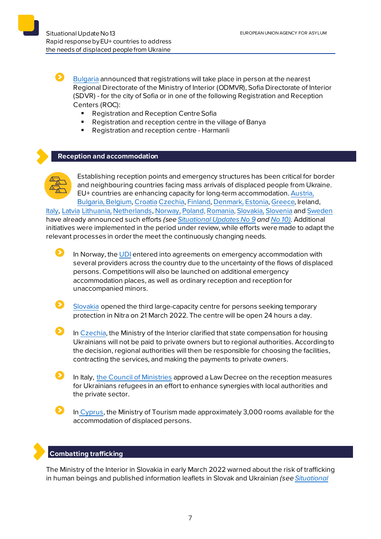[Bulgaria](https://aref.government.bg/bg/node/511) announced that registrations will take place in person at the nearest Regional Directorate of the Ministry of Interior (ODMVR), Sofia Directorate of Interior (SDVR) - for the city of Sofia or in one of the following Registration and Reception Centers (ROC):

- Registration and Reception Centre Sofia
- Registration and reception centre in the village of Banya<br>Registration and reception centre Harmanli
- Registration and reception centre Harmanli

#### **Reception and accommodation**



Ω

Establishing reception points and emergency structures has been critical for border and neighbouring countries facing mass arrivals of displaced people from Ukraine. EU+ countries are enhancing capacity for long-term accommodation[. Austria](https://www.bmi.gv.at/news.aspx?id=7377444259556F4164696B3D), [Bulgaria,](https://ukraine.gov.bg/2022/03/11/information-about-temporary-protection/) [Belgium,](https://www.fedasil.be/fr/actualites/accueil-des-demandeurs-dasile/accueil-de-crise-molenbeek-pour-les-ukrainiens) [Croatia](https://mup.gov.hr/vijesti/u-hrvatsku-stiglo-190-izbjeglica-pripremamo-se-za-masovniji-val/288536) [Czechia,](http://www.suz.cz/informace-pro-nove-prichozi-obcany-ukrajiny/) [Finland](https://migri.fi/en/-/finnish-immigration-service-closely-monitoring-situation-in-ukraine)[, Denmark,](https://us.dk/nyheder/2022/marts/ukraine-faq/) [Estonia](https://www.sotsiaalkindlustusamet.ee/et/uudised/eestisse-joudnud-esimesed-ukraina-sojapogenikud)[, Greece](https://migration.gov.gr/ukraina_ukr/), Ireland, [Italy,](https://www.ansa.it/sito/notizie/mondo/2022/02/27/ucraina-oggi-il-cdm-su-energia-e-aiuti-militari-a-kiev_22f90df1-74c8-4d4f-b245-b74839582e90.html) [Latvia](https://www.rs.gov.lv/lv/informacija-ukrainas-pilsoniem-kuri-izcelo-no-ukrainas-militara-konflikta-del) [Lithuania,](https://vrm.lrv.lt/lt/naujienos/vrm-kaip-vyks-karo-pabegeliu-is-ukrainos-priemimas) Netherlands[, Norway,](https://www.udi.no/nn/aktuelt/ankomster-av-ukrainske-flyktninger-til-norge/) [Poland,](https://www.gov.pl/web/mswia/minister-kaminski-wszystkim-naszym-ukrainskim-braciom-okazemy-solidarnosc-i-wsparcie) [Romania,](https://www.facebook.com/departamenturgente/posts/371184541499380) [Slovakia,](https://www.minv.sk/?tlacove-spravy&sprava=ministerstvo-vnutra-k-aktualnemu-dianiu-na-ukrajine) [Slovenia](https://www.gov.si/novice/2022-03-05-javni-poziv-za-zagotavljanje-nastanitvenih-objektov-za-namen-pomoci-ob-resevanju-krize-v-ukrajini/) and [Sweden](https://www.migrationsverket.se/Om-Migrationsverket/Pressrum/Nyhetsarkiv/Nyhetsarkiv-2022/2022-02-24-Migrationsverket-har-okad-beredskap-efter-utvecklingen-i-Ukraina.html) have already announced such efforts *(see [Situational Updates No 9](https://euaa.europa.eu/sites/default/files/publications/2022-03/2022_situational_update_9_Ukraine_EN_1.pdf) an[d No](https://euaa.europa.eu/publications/rapid-response-eu-countries-address-needs-displaced-people-ukraine-0) 10).* Additional initiatives were implemented in the period under review, while efforts were made to adapt the relevant processes in order the meet the continuously changing needs.

- In Norway, the [UDI](https://www.udi.no/aktuelt/nye-avtaler-om-akuttinnkvartering/) entered into agreements on emergency accommodation with several providers across the country due to the uncertainty of the flows of displaced persons. Competitions will also be launched on additional emergency accommodation places, as well as ordinary reception and reception for unaccompanied minors.
- [Slovakia](https://www.minv.sk/?tlacove-spravy&sprava=v-pondelok-21-marca-zacne-v-nitre-fungovat-velkokapacitne-centrum-pre-cudzincov-ziadajucich-o-docasne-utocisko) opened the third large-capacity centre for persons seeking temporary protection in Nitra on 21 March 2022. The centre will be open 24 hours a day.
- In [Czechia,](https://www.mvcr.cz/clanek/na-pravou-miru-kompenzace-statu-za-ubytovani-ukrajincu-vyplati-stat-krajum-ne-soukromnikum.aspx) the Ministry of the Interior clarified that state compensation for housing Ukrainians will not be paid to private owners but to regional authorities. According to the decision, regional authorities will then be responsible for choosing the facilities, contracting the services, and making the payments to private owners.
	- In Italy, [the Council of Ministries](https://www.governo.it/it/articolo/comunicato-stampa-del-consiglio-dei-ministri-n-68/19432) approved a Law Decree on the reception measures for Ukrainians refugees in an effort to enhance synergies with local authorities and the private sector.
- In [Cyprus,](http://www.moi.gov.cy/MOI/moiup/moi.nsf/All/5934D38355815AE6C22588090025458B?OpenDocument) the Ministry of Tourism made approximately 3,000 rooms available for the accommodation of displaced persons.

#### **Combatting trafficking**

The Ministry of the Interior in Slovakia in early March 2022 warned about the risk of trafficking in human beings and published information leaflets in Slovak and Ukrainian *(se[e Situational](https://euaa.europa.eu/sites/default/files/publications/2022-03/2022_situational_update_9_Ukraine_EN_1.pdf)*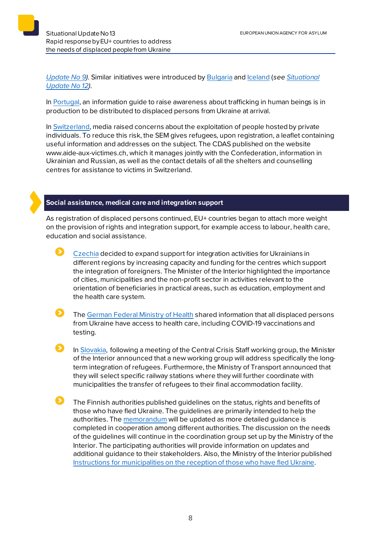*[Update No 9\)](https://euaa.europa.eu/sites/default/files/publications/2022-03/2022_situational_update_9_Ukraine_EN_1.pdf).* Similar initiatives were introduced by [Bulgaria](https://ukraine.gov.bg/2022/03/15/human-trafficking-important-information-for-ukrainian-citizens-seeking-protection-in-bulgaria/) and [Iceland](https://www.stjornarradid.is/efst-a-baugi/frettir/stok-frett/2022/03/15/Thekkir-thu-visbendingar-um-mansal/) (*se[e Situational](https://euaa.europa.eu/publications/rapid-response-eu-countries-address-needs-displaced-people-ukraine-1)  [Update No 12\)](https://euaa.europa.eu/publications/rapid-response-eu-countries-address-needs-displaced-people-ukraine-1).*

In [Portugal,](https://www.portugal.gov.pt/pt/gc22/comunicacao/noticia?i=projeto-para-prevenir-e-monitorizar-as-vitimas-de-exploracao-sexual-foi-hoje-apresentado) an information guide to raise awareness about trafficking in human beings is in production to be distributed to displaced persons from Ukraine at arrival.

In [Switzerland,](https://www.sem.admin.ch/sem/fr/home/sem/medien/mm.msg-id-87644.html) media raised concerns about the exploitation of people hosted by private individuals. To reduce this risk, the SEM gives refugees, upon registration, a leaflet containing useful information and addresses on the subject. The CDAS published on the website www.aide-aux-victimes.ch, which it manages jointly with the Confederation, information in Ukrainian and Russian, as well as the contact details of all the shelters and counselling centres for assistance to victims in Switzerland.

## **Social assistance, medical care and integration support**

As registration of displaced persons continued, EU+ countries began to attach more weight on the provision of rights and integration support, for example access to labour, health care, education and social assistance.



[Czechia](https://www.mvcr.cz/clanek/ministerstvo-vnitra-rozsiri-podporu-adaptacnich-aktivit-ukrajinskych-uprchliku-primo-v-regionech.aspx) decided to expand support for integration activities for Ukrainians in different regions by increasing capacity and funding for the centres which support the integration of foreigners. The Minister of the Interior highlighted the importance of cities, municipalities and the non-profit sector in activities relevant to the orientation of beneficiaries in practical areas, such as education, employment and the health care system.

Ø. The [German Federal Ministry of Health](https://www.bundesgesundheitsministerium.de/medizinische-versorgung-der-menschen-aus-ukraine.html) shared information that all displaced persons from Ukraine have access to health care, including COVID-19 vaccinations and testing.

 $\mathbf{\Sigma}$ In [Slovakia,](https://www.minv.sk/?tlacove-spravy&sprava=dlhodobu-integraciu-utecencov-bude-riesit-nova-pracovna-skupina) following a meeting of the Central Crisis Staff working group, the Minister of the Interior announced that a new working group will address specifically the longterm integration of refugees. Furthermore, the Ministry of Transport announced that they will select specific railway stations where they will further coordinate with municipalities the transfer of refugees to their final accommodation facility.

 $\bullet$ The Finnish authorities published guidelines on the status, rights and benefits of those who have fled Ukraine. The guidelines are primarily intended to help the authorities. Th[e memorandum](https://api.hankeikkuna.fi/asiakirjat/d4aba30b-627d-4cf4-a2ab-9ecdb678b12c/1995e067-57ec-447e-906f-5d8be5e940f6/MUISTIO_20220317124324.pdf) will be updated as more detailed guidance is completed in cooperation among different authorities. The discussion on the needs of the guidelines will continue in the coordination group set up by the Ministry of the Interior. The participating authorities will provide information on updates and additional guidance to their stakeholders. Also, the Ministry of the Interior published [Instructions for municipalities on the reception of those who have fled Ukraine](https://intermin.fi/ukraina/ohjeita-kunnille).